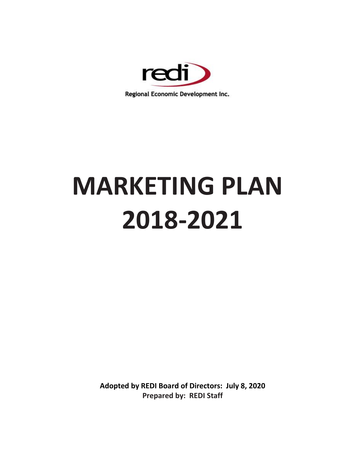

# **MARKETING PLAN 2018-2021**

**Adopted by REDI Board of Directors: July 8, 2020 Prepared by: REDI Staff**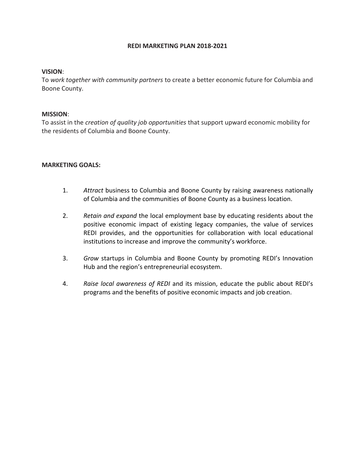# **REDI MARKETING PLAN 2018-2021**

# **VISION**:

To *work together with community partners* to create a better economic future for Columbia and Boone County.

# **MISSION**:

To assist in the *creation of quality job opportunities* that support upward economic mobility for the residents of Columbia and Boone County.

# **MARKETING GOALS:**

- 1. *Attract* business to Columbia and Boone County by raising awareness nationally of Columbia and the communities of Boone County as a business location.
- 2. *Retain and expand* the local employment base by educating residents about the positive economic impact of existing legacy companies, the value of services REDI provides, and the opportunities for collaboration with local educational institutions to increase and improve the community's workforce.
- 3. *Grow* startups in Columbia and Boone County by promoting REDI's Innovation Hub and the region's entrepreneurial ecosystem.
- 4. *Raise local awareness of REDI* and its mission, educate the public about REDI's programs and the benefits of positive economic impacts and job creation.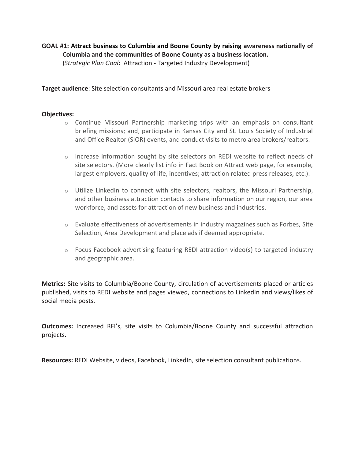**GOAL #1: Attract business to Columbia and Boone County by raising awareness nationally of Columbia and the communities of Boone County as a business location.** (*Strategic Plan Goal:* Attraction - Targeted Industry Development)

**Target audience**: Site selection consultants and Missouri area real estate brokers

### **Objectives:**

- $\circ$  Continue Missouri Partnership marketing trips with an emphasis on consultant briefing missions; and, participate in Kansas City and St. Louis Society of Industrial and Office Realtor (SIOR) events, and conduct visits to metro area brokers/realtors.
- $\circ$  Increase information sought by site selectors on REDI website to reflect needs of site selectors. (More clearly list info in Fact Book on Attract web page, for example, largest employers, quality of life, incentives; attraction related press releases, etc.).
- $\circ$  Utilize LinkedIn to connect with site selectors, realtors, the Missouri Partnership, and other business attraction contacts to share information on our region, our area workforce, and assets for attraction of new business and industries.
- $\circ$  Evaluate effectiveness of advertisements in industry magazines such as Forbes, Site Selection, Area Development and place ads if deemed appropriate.
- $\circ$  Focus Facebook advertising featuring REDI attraction video(s) to targeted industry and geographic area.

**Metrics:** Site visits to Columbia/Boone County, circulation of advertisements placed or articles published, visits to REDI website and pages viewed, connections to LinkedIn and views/likes of social media posts.

**Outcomes:** Increased RFI's, site visits to Columbia/Boone County and successful attraction projects.

**Resources:** REDI Website, videos, Facebook, LinkedIn, site selection consultant publications.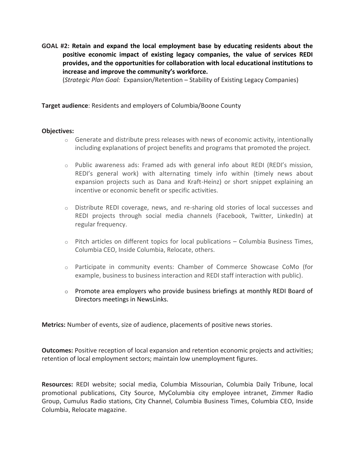**GOAL #2: Retain and expand the local employment base by educating residents about the positive economic impact of existing legacy companies, the value of services REDI provides, and the opportunities for collaboration with local educational institutions to increase and improve the community's workforce.**

(*Strategic Plan Goal:* Expansion/Retention – Stability of Existing Legacy Companies)

**Target audience**: Residents and employers of Columbia/Boone County

# **Objectives:**

- $\circ$  Generate and distribute press releases with news of economic activity, intentionally including explanations of project benefits and programs that promoted the project.
- $\circ$  Public awareness ads: Framed ads with general info about REDI (REDI's mission, REDI's general work) with alternating timely info within (timely news about expansion projects such as Dana and Kraft-Heinz) or short snippet explaining an incentive or economic benefit or specific activities.
- o Distribute REDI coverage, news, and re-sharing old stories of local successes and REDI projects through social media channels (Facebook, Twitter, LinkedIn) at regular frequency.
- $\circ$  Pitch articles on different topics for local publications Columbia Business Times, Columbia CEO, Inside Columbia, Relocate, others.
- o Participate in community events: Chamber of Commerce Showcase CoMo (for example, business to business interaction and REDI staff interaction with public).
- $\circ$  Promote area employers who provide business briefings at monthly REDI Board of Directors meetings in NewsLinks.

**Metrics:** Number of events, size of audience, placements of positive news stories.

**Outcomes:** Positive reception of local expansion and retention economic projects and activities; retention of local employment sectors; maintain low unemployment figures.

**Resources:** REDI website; social media, Columbia Missourian, Columbia Daily Tribune, local promotional publications, City Source, MyColumbia city employee intranet, Zimmer Radio Group, Cumulus Radio stations, City Channel, Columbia Business Times, Columbia CEO, Inside Columbia, Relocate magazine.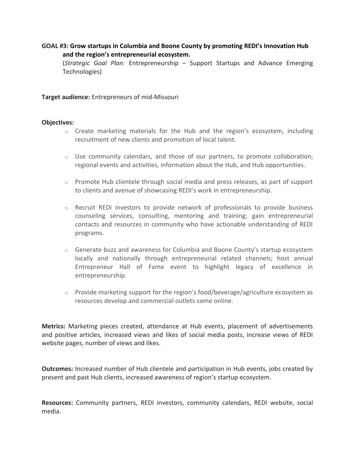# **GOAL #3: Grow startups in Columbia and Boone County by promoting REDI's Innovation Hub and the region's entrepreneurial ecosystem.**

(*Strategic Goal Plan:* Entrepreneurship – Support Startups and Advance Emerging Technologies)

**Target audience:** Entrepreneurs of mid-Missouri

# **Objectives:**

- $\circ$  Create marketing materials for the Hub and the region's ecosystem, including recruitment of new clients and promotion of local talent.
- $\circ$  Use community calendars, and those of our partners, to promote collaboration, regional events and activities, information about the Hub, and Hub opportunities.
- $\circ$  Promote Hub clientele through social media and press releases, as part of support to clients and avenue of showcasing REDI's work in entrepreneurship.
- o Recruit REDI investors to provide network of professionals to provide business counseling services, consulting, mentoring and training; gain entrepreneurial contacts and resources in community who have actionable understanding of REDI programs.
- $\circ$  Generate buzz and awareness for Columbia and Boone County's startup ecosystem locally and nationally through entrepreneurial related channels; host annual Entrepreneur Hall of Fame event to highlight legacy of excellence in entrepreneurship.
- $\circ$  Provide marketing support for the region's food/beverage/agriculture ecosystem as resources develop and commercial outlets come online.

**Metrics:** Marketing pieces created, attendance at Hub events, placement of advertisements and positive articles, increased views and likes of social media posts, increase views of REDI website pages, number of views and likes.

**Outcomes:** Increased number of Hub clientele and participation in Hub events, jobs created by present and past Hub clients, increased awareness of region's startup ecosystem.

**Resources:** Community partners, REDI investors, community calendars, REDI website, social media.